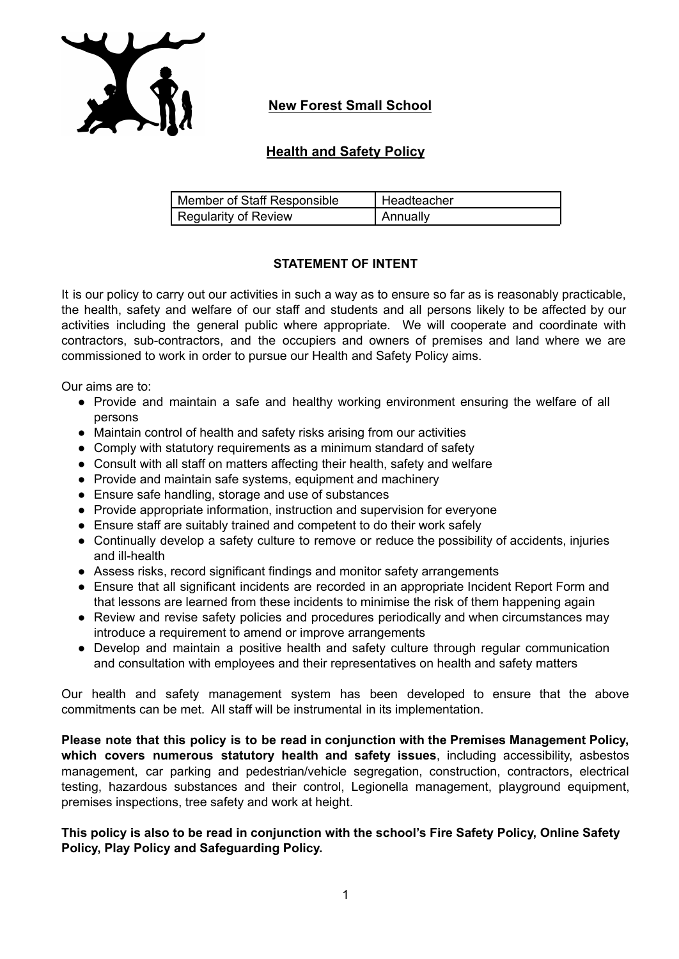

# **New Forest Small School**

# **Health and Safety Policy**

| Member of Staff Responsible | Headteacher |
|-----------------------------|-------------|
| <b>Regularity of Review</b> | I Annuallv  |

# **STATEMENT OF INTENT**

It is our policy to carry out our activities in such a way as to ensure so far as is reasonably practicable, the health, safety and welfare of our staff and students and all persons likely to be affected by our activities including the general public where appropriate. We will cooperate and coordinate with contractors, sub-contractors, and the occupiers and owners of premises and land where we are commissioned to work in order to pursue our Health and Safety Policy aims.

Our aims are to:

- Provide and maintain a safe and healthy working environment ensuring the welfare of all persons
- Maintain control of health and safety risks arising from our activities
- Comply with statutory requirements as a minimum standard of safety
- Consult with all staff on matters affecting their health, safety and welfare
- Provide and maintain safe systems, equipment and machinery
- Ensure safe handling, storage and use of substances
- Provide appropriate information, instruction and supervision for everyone
- Ensure staff are suitably trained and competent to do their work safely
- Continually develop a safety culture to remove or reduce the possibility of accidents, injuries and ill-health
- Assess risks, record significant findings and monitor safety arrangements
- Ensure that all significant incidents are recorded in an appropriate Incident Report Form and that lessons are learned from these incidents to minimise the risk of them happening again
- Review and revise safety policies and procedures periodically and when circumstances may introduce a requirement to amend or improve arrangements
- Develop and maintain a positive health and safety culture through regular communication and consultation with employees and their representatives on health and safety matters

Our health and safety management system has been developed to ensure that the above commitments can be met. All staff will be instrumental in its implementation.

**Please note that this policy is to be read in conjunction with the Premises Management Policy, which covers numerous statutory health and safety issues**, including accessibility, asbestos management, car parking and pedestrian/vehicle segregation, construction, contractors, electrical testing, hazardous substances and their control, Legionella management, playground equipment, premises inspections, tree safety and work at height.

**This policy is also to be read in conjunction with the school's Fire Safety Policy, Online Safety Policy, Play Policy and Safeguarding Policy.**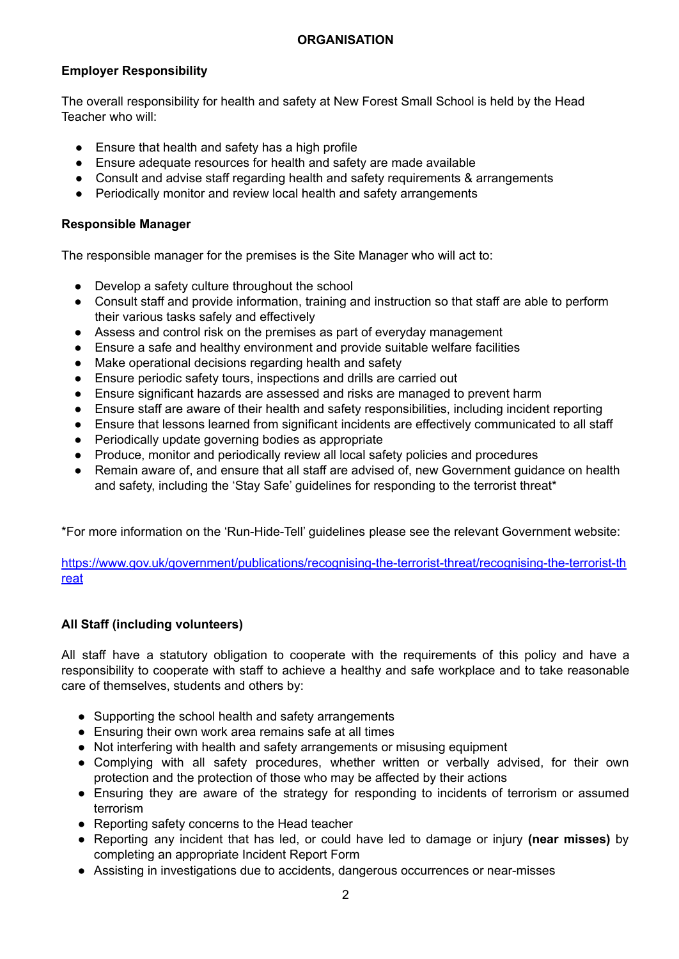# **Employer Responsibility**

The overall responsibility for health and safety at New Forest Small School is held by the Head Teacher who will:

- Ensure that health and safety has a high profile
- Ensure adequate resources for health and safety are made available
- Consult and advise staff regarding health and safety requirements & arrangements
- Periodically monitor and review local health and safety arrangements

## **Responsible Manager**

The responsible manager for the premises is the Site Manager who will act to:

- Develop a safety culture throughout the school
- Consult staff and provide information, training and instruction so that staff are able to perform their various tasks safely and effectively
- Assess and control risk on the premises as part of everyday management
- Ensure a safe and healthy environment and provide suitable welfare facilities
- Make operational decisions regarding health and safety
- Ensure periodic safety tours, inspections and drills are carried out
- Ensure significant hazards are assessed and risks are managed to prevent harm
- Ensure staff are aware of their health and safety responsibilities, including incident reporting
- Ensure that lessons learned from significant incidents are effectively communicated to all staff
- Periodically update governing bodies as appropriate
- Produce, monitor and periodically review all local safety policies and procedures
- Remain aware of, and ensure that all staff are advised of, new Government guidance on health and safety, including the 'Stay Safe' guidelines for responding to the terrorist threat\*

\*For more information on the 'Run-Hide-Tell' guidelines please see the relevant Government website:

[https://www.gov.uk/government/publications/recognising-the-terrorist-threat/recognising-the-terrorist-th](https://www.gov.uk/government/publications/recognising-the-terrorist-threat/recognising-the-terrorist-threat) [reat](https://www.gov.uk/government/publications/recognising-the-terrorist-threat/recognising-the-terrorist-threat)

# **All Staff (including volunteers)**

All staff have a statutory obligation to cooperate with the requirements of this policy and have a responsibility to cooperate with staff to achieve a healthy and safe workplace and to take reasonable care of themselves, students and others by:

- Supporting the school health and safety arrangements
- Ensuring their own work area remains safe at all times
- Not interfering with health and safety arrangements or misusing equipment
- Complying with all safety procedures, whether written or verbally advised, for their own protection and the protection of those who may be affected by their actions
- Ensuring they are aware of the strategy for responding to incidents of terrorism or assumed terrorism
- Reporting safety concerns to the Head teacher
- Reporting any incident that has led, or could have led to damage or injury **(near misses)** by completing an appropriate Incident Report Form
- Assisting in investigations due to accidents, dangerous occurrences or near-misses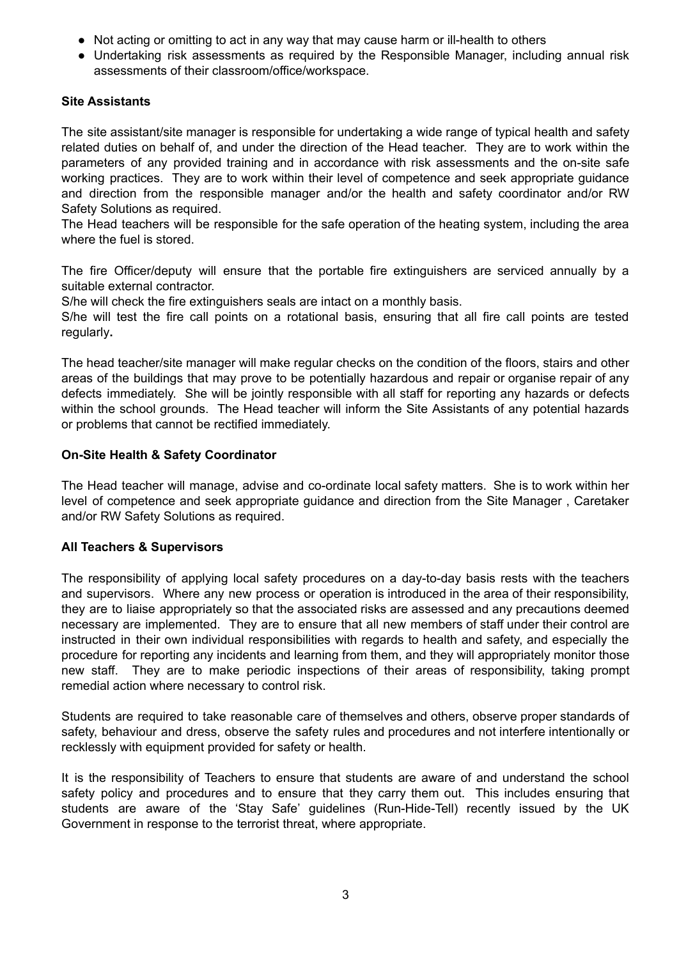- Not acting or omitting to act in any way that may cause harm or ill-health to others
- Undertaking risk assessments as required by the Responsible Manager, including annual risk assessments of their classroom/office/workspace.

## **Site Assistants**

The site assistant/site manager is responsible for undertaking a wide range of typical health and safety related duties on behalf of, and under the direction of the Head teacher. They are to work within the parameters of any provided training and in accordance with risk assessments and the on-site safe working practices. They are to work within their level of competence and seek appropriate guidance and direction from the responsible manager and/or the health and safety coordinator and/or RW Safety Solutions as required.

The Head teachers will be responsible for the safe operation of the heating system, including the area where the fuel is stored.

The fire Officer/deputy will ensure that the portable fire extinguishers are serviced annually by a suitable external contractor.

S/he will check the fire extinguishers seals are intact on a monthly basis.

S/he will test the fire call points on a rotational basis, ensuring that all fire call points are tested regularly**.**

The head teacher/site manager will make regular checks on the condition of the floors, stairs and other areas of the buildings that may prove to be potentially hazardous and repair or organise repair of any defects immediately. She will be jointly responsible with all staff for reporting any hazards or defects within the school grounds. The Head teacher will inform the Site Assistants of any potential hazards or problems that cannot be rectified immediately.

### **On-Site Health & Safety Coordinator**

The Head teacher will manage, advise and co-ordinate local safety matters. She is to work within her level of competence and seek appropriate guidance and direction from the Site Manager , Caretaker and/or RW Safety Solutions as required.

# **All Teachers & Supervisors**

The responsibility of applying local safety procedures on a day-to-day basis rests with the teachers and supervisors. Where any new process or operation is introduced in the area of their responsibility, they are to liaise appropriately so that the associated risks are assessed and any precautions deemed necessary are implemented. They are to ensure that all new members of staff under their control are instructed in their own individual responsibilities with regards to health and safety, and especially the procedure for reporting any incidents and learning from them, and they will appropriately monitor those new staff. They are to make periodic inspections of their areas of responsibility, taking prompt remedial action where necessary to control risk.

Students are required to take reasonable care of themselves and others, observe proper standards of safety, behaviour and dress, observe the safety rules and procedures and not interfere intentionally or recklessly with equipment provided for safety or health.

It is the responsibility of Teachers to ensure that students are aware of and understand the school safety policy and procedures and to ensure that they carry them out. This includes ensuring that students are aware of the 'Stay Safe' guidelines (Run-Hide-Tell) recently issued by the UK Government in response to the terrorist threat, where appropriate.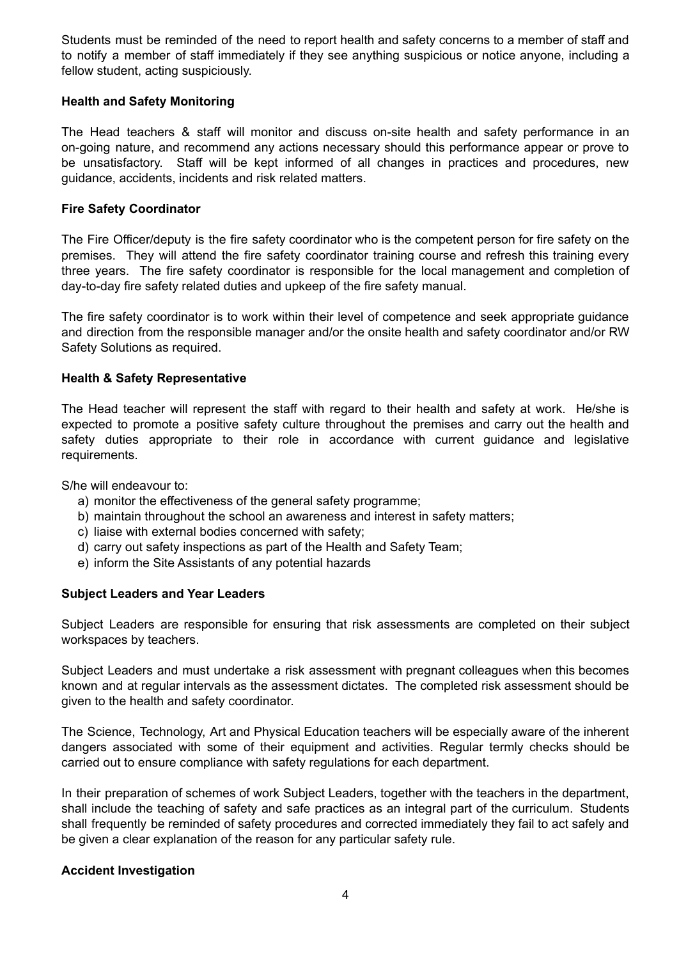Students must be reminded of the need to report health and safety concerns to a member of staff and to notify a member of staff immediately if they see anything suspicious or notice anyone, including a fellow student, acting suspiciously.

#### **Health and Safety Monitoring**

The Head teachers & staff will monitor and discuss on-site health and safety performance in an on-going nature, and recommend any actions necessary should this performance appear or prove to be unsatisfactory. Staff will be kept informed of all changes in practices and procedures, new guidance, accidents, incidents and risk related matters.

#### **Fire Safety Coordinator**

The Fire Officer/deputy is the fire safety coordinator who is the competent person for fire safety on the premises. They will attend the fire safety coordinator training course and refresh this training every three years. The fire safety coordinator is responsible for the local management and completion of day-to-day fire safety related duties and upkeep of the fire safety manual.

The fire safety coordinator is to work within their level of competence and seek appropriate guidance and direction from the responsible manager and/or the onsite health and safety coordinator and/or RW Safety Solutions as required.

### **Health & Safety Representative**

The Head teacher will represent the staff with regard to their health and safety at work. He/she is expected to promote a positive safety culture throughout the premises and carry out the health and safety duties appropriate to their role in accordance with current guidance and legislative requirements.

S/he will endeavour to:

- a) monitor the effectiveness of the general safety programme;
- b) maintain throughout the school an awareness and interest in safety matters;
- c) liaise with external bodies concerned with safety;
- d) carry out safety inspections as part of the Health and Safety Team;
- e) inform the Site Assistants of any potential hazards

# **Subject Leaders and Year Leaders**

Subject Leaders are responsible for ensuring that risk assessments are completed on their subject workspaces by teachers.

Subject Leaders and must undertake a risk assessment with pregnant colleagues when this becomes known and at regular intervals as the assessment dictates. The completed risk assessment should be given to the health and safety coordinator.

The Science, Technology, Art and Physical Education teachers will be especially aware of the inherent dangers associated with some of their equipment and activities. Regular termly checks should be carried out to ensure compliance with safety regulations for each department.

In their preparation of schemes of work Subject Leaders, together with the teachers in the department, shall include the teaching of safety and safe practices as an integral part of the curriculum. Students shall frequently be reminded of safety procedures and corrected immediately they fail to act safely and be given a clear explanation of the reason for any particular safety rule.

#### **Accident Investigation**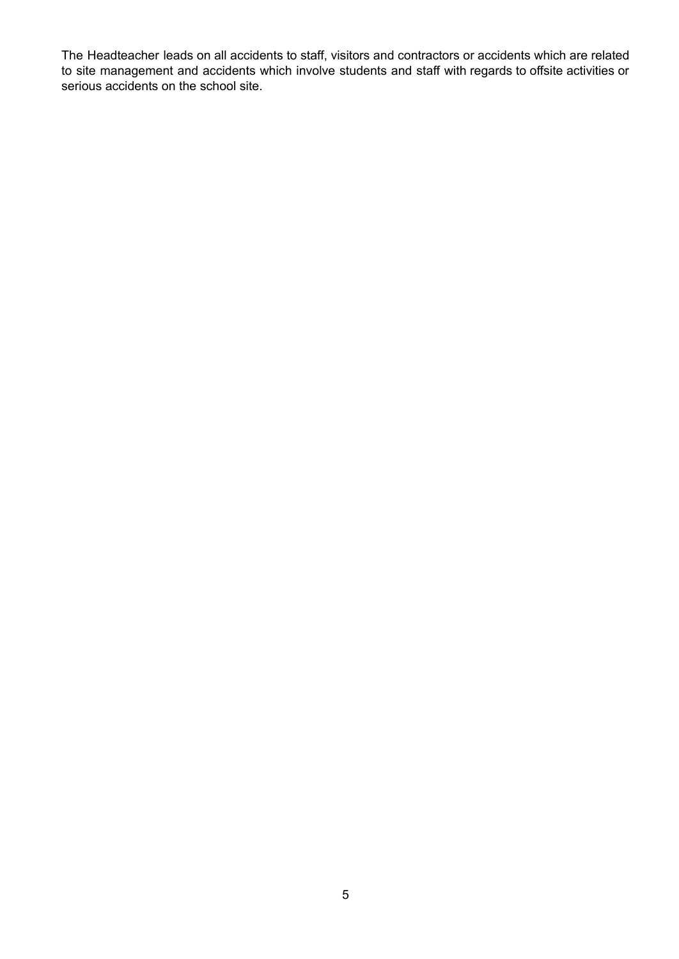The Headteacher leads on all accidents to staff, visitors and contractors or accidents which are related to site management and accidents which involve students and staff with regards to offsite activities or serious accidents on the school site.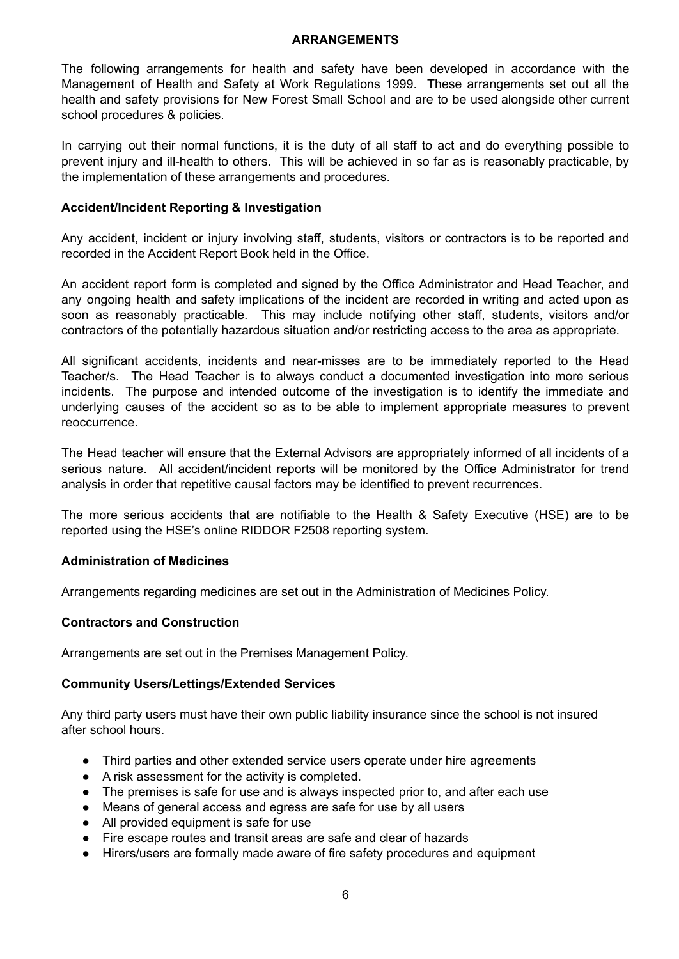#### **ARRANGEMENTS**

The following arrangements for health and safety have been developed in accordance with the Management of Health and Safety at Work Regulations 1999. These arrangements set out all the health and safety provisions for New Forest Small School and are to be used alongside other current school procedures & policies.

In carrying out their normal functions, it is the duty of all staff to act and do everything possible to prevent injury and ill-health to others. This will be achieved in so far as is reasonably practicable, by the implementation of these arrangements and procedures.

#### **Accident/Incident Reporting & Investigation**

Any accident, incident or injury involving staff, students, visitors or contractors is to be reported and recorded in the Accident Report Book held in the Office.

An accident report form is completed and signed by the Office Administrator and Head Teacher, and any ongoing health and safety implications of the incident are recorded in writing and acted upon as soon as reasonably practicable. This may include notifying other staff, students, visitors and/or contractors of the potentially hazardous situation and/or restricting access to the area as appropriate.

All significant accidents, incidents and near-misses are to be immediately reported to the Head Teacher/s. The Head Teacher is to always conduct a documented investigation into more serious incidents. The purpose and intended outcome of the investigation is to identify the immediate and underlying causes of the accident so as to be able to implement appropriate measures to prevent reoccurrence.

The Head teacher will ensure that the External Advisors are appropriately informed of all incidents of a serious nature. All accident/incident reports will be monitored by the Office Administrator for trend analysis in order that repetitive causal factors may be identified to prevent recurrences.

The more serious accidents that are notifiable to the Health & Safety Executive (HSE) are to be reported using the HSE's online RIDDOR F2508 reporting system.

#### **Administration of Medicines**

Arrangements regarding medicines are set out in the Administration of Medicines Policy.

#### **Contractors and Construction**

Arrangements are set out in the Premises Management Policy.

#### **Community Users/Lettings/Extended Services**

Any third party users must have their own public liability insurance since the school is not insured after school hours.

- Third parties and other extended service users operate under hire agreements
- A risk assessment for the activity is completed.
- The premises is safe for use and is always inspected prior to, and after each use
- Means of general access and egress are safe for use by all users
- All provided equipment is safe for use
- Fire escape routes and transit areas are safe and clear of hazards
- Hirers/users are formally made aware of fire safety procedures and equipment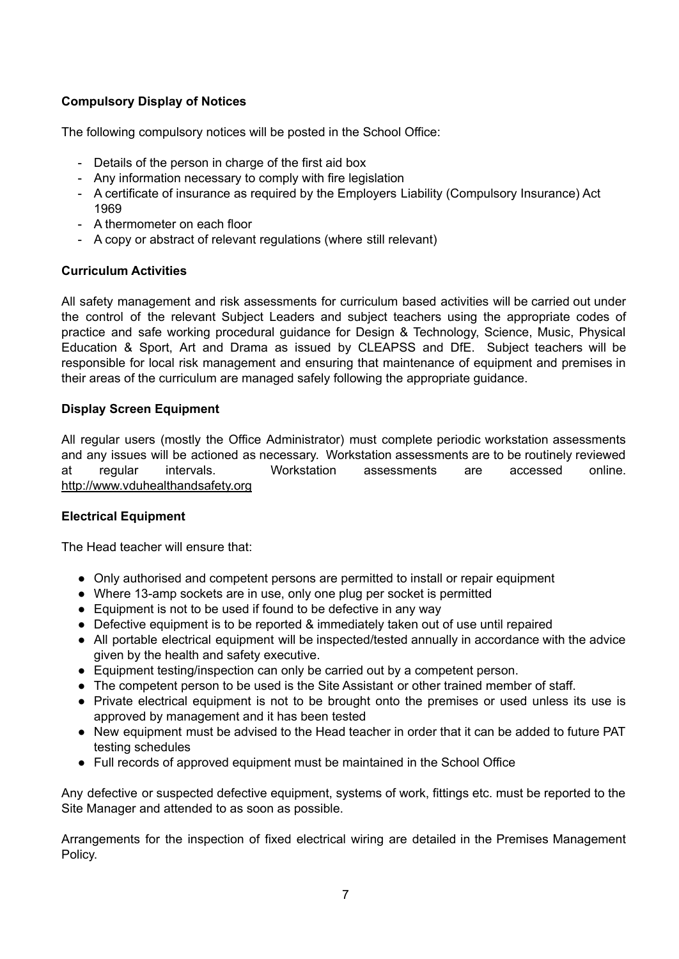# **Compulsory Display of Notices**

The following compulsory notices will be posted in the School Office:

- Details of the person in charge of the first aid box
- Any information necessary to comply with fire legislation
- A certificate of insurance as required by the Employers Liability (Compulsory Insurance) Act 1969
- A thermometer on each floor
- A copy or abstract of relevant regulations (where still relevant)

### **Curriculum Activities**

All safety management and risk assessments for curriculum based activities will be carried out under the control of the relevant Subject Leaders and subject teachers using the appropriate codes of practice and safe working procedural guidance for Design & Technology, Science, Music, Physical Education & Sport, Art and Drama as issued by CLEAPSS and DfE. Subject teachers will be responsible for local risk management and ensuring that maintenance of equipment and premises in their areas of the curriculum are managed safely following the appropriate guidance.

### **Display Screen Equipment**

All regular users (mostly the Office Administrator) must complete periodic workstation assessments and any issues will be actioned as necessary. Workstation assessments are to be routinely reviewed at regular intervals. Workstation assessments are accessed online. http://www.vduhealthandsafety.org

#### **Electrical Equipment**

The Head teacher will ensure that:

- Only authorised and competent persons are permitted to install or repair equipment
- Where 13-amp sockets are in use, only one plug per socket is permitted
- Equipment is not to be used if found to be defective in any way
- Defective equipment is to be reported & immediately taken out of use until repaired
- All portable electrical equipment will be inspected/tested annually in accordance with the advice given by the health and safety executive.
- Equipment testing/inspection can only be carried out by a competent person.
- The competent person to be used is the Site Assistant or other trained member of staff.
- Private electrical equipment is not to be brought onto the premises or used unless its use is approved by management and it has been tested
- New equipment must be advised to the Head teacher in order that it can be added to future PAT testing schedules
- Full records of approved equipment must be maintained in the School Office

Any defective or suspected defective equipment, systems of work, fittings etc. must be reported to the Site Manager and attended to as soon as possible.

Arrangements for the inspection of fixed electrical wiring are detailed in the Premises Management Policy.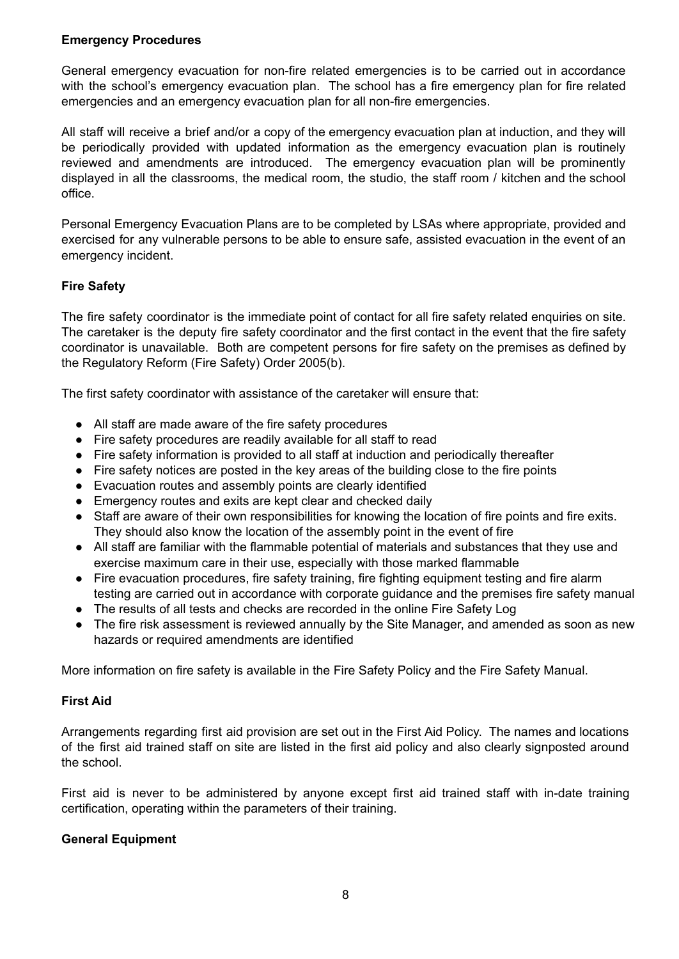### **Emergency Procedures**

General emergency evacuation for non-fire related emergencies is to be carried out in accordance with the school's emergency evacuation plan. The school has a fire emergency plan for fire related emergencies and an emergency evacuation plan for all non-fire emergencies.

All staff will receive a brief and/or a copy of the emergency evacuation plan at induction, and they will be periodically provided with updated information as the emergency evacuation plan is routinely reviewed and amendments are introduced. The emergency evacuation plan will be prominently displayed in all the classrooms, the medical room, the studio, the staff room / kitchen and the school office.

Personal Emergency Evacuation Plans are to be completed by LSAs where appropriate, provided and exercised for any vulnerable persons to be able to ensure safe, assisted evacuation in the event of an emergency incident.

# **Fire Safety**

The fire safety coordinator is the immediate point of contact for all fire safety related enquiries on site. The caretaker is the deputy fire safety coordinator and the first contact in the event that the fire safety coordinator is unavailable. Both are competent persons for fire safety on the premises as defined by the Regulatory Reform (Fire Safety) Order 2005(b).

The first safety coordinator with assistance of the caretaker will ensure that:

- All staff are made aware of the fire safety procedures
- Fire safety procedures are readily available for all staff to read
- Fire safety information is provided to all staff at induction and periodically thereafter
- Fire safety notices are posted in the key areas of the building close to the fire points
- Evacuation routes and assembly points are clearly identified
- Emergency routes and exits are kept clear and checked daily
- Staff are aware of their own responsibilities for knowing the location of fire points and fire exits. They should also know the location of the assembly point in the event of fire
- All staff are familiar with the flammable potential of materials and substances that they use and exercise maximum care in their use, especially with those marked flammable
- Fire evacuation procedures, fire safety training, fire fighting equipment testing and fire alarm testing are carried out in accordance with corporate guidance and the premises fire safety manual
- The results of all tests and checks are recorded in the online Fire Safety Log
- The fire risk assessment is reviewed annually by the Site Manager, and amended as soon as new hazards or required amendments are identified

More information on fire safety is available in the Fire Safety Policy and the Fire Safety Manual.

# **First Aid**

Arrangements regarding first aid provision are set out in the First Aid Policy. The names and locations of the first aid trained staff on site are listed in the first aid policy and also clearly signposted around the school.

First aid is never to be administered by anyone except first aid trained staff with in-date training certification, operating within the parameters of their training.

#### **General Equipment**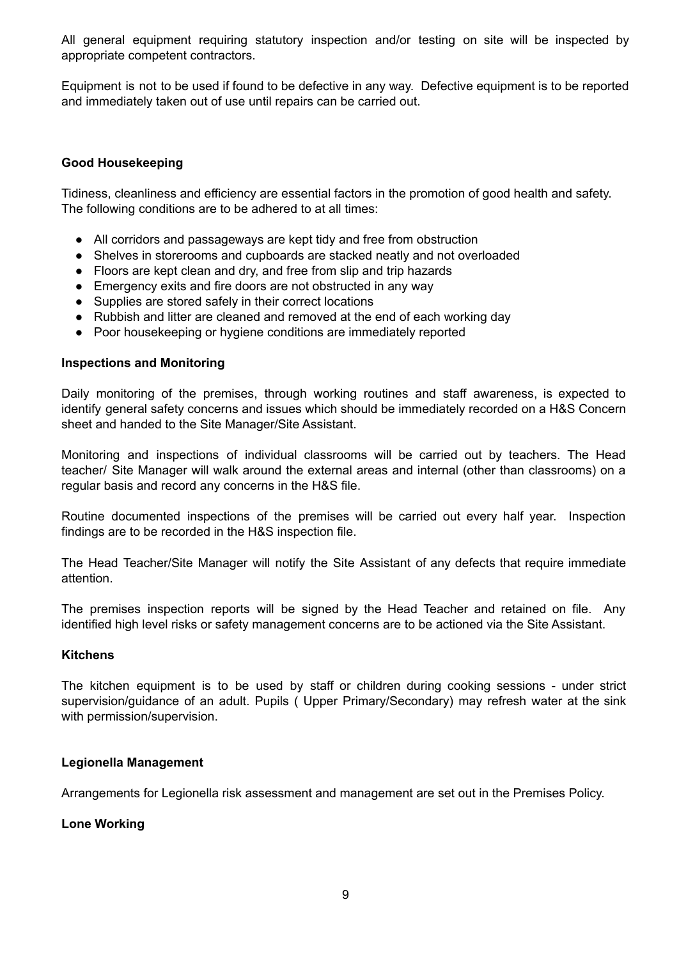All general equipment requiring statutory inspection and/or testing on site will be inspected by appropriate competent contractors.

Equipment is not to be used if found to be defective in any way. Defective equipment is to be reported and immediately taken out of use until repairs can be carried out.

#### **Good Housekeeping**

Tidiness, cleanliness and efficiency are essential factors in the promotion of good health and safety. The following conditions are to be adhered to at all times:

- All corridors and passageways are kept tidy and free from obstruction
- Shelves in storerooms and cupboards are stacked neatly and not overloaded
- Floors are kept clean and dry, and free from slip and trip hazards
- Emergency exits and fire doors are not obstructed in any way
- Supplies are stored safely in their correct locations
- Rubbish and litter are cleaned and removed at the end of each working day
- Poor housekeeping or hygiene conditions are immediately reported

#### **Inspections and Monitoring**

Daily monitoring of the premises, through working routines and staff awareness, is expected to identify general safety concerns and issues which should be immediately recorded on a H&S Concern sheet and handed to the Site Manager/Site Assistant.

Monitoring and inspections of individual classrooms will be carried out by teachers. The Head teacher/ Site Manager will walk around the external areas and internal (other than classrooms) on a regular basis and record any concerns in the H&S file.

Routine documented inspections of the premises will be carried out every half year. Inspection findings are to be recorded in the H&S inspection file.

The Head Teacher/Site Manager will notify the Site Assistant of any defects that require immediate attention.

The premises inspection reports will be signed by the Head Teacher and retained on file. Any identified high level risks or safety management concerns are to be actioned via the Site Assistant.

#### **Kitchens**

The kitchen equipment is to be used by staff or children during cooking sessions - under strict supervision/guidance of an adult. Pupils ( Upper Primary/Secondary) may refresh water at the sink with permission/supervision.

#### **Legionella Management**

Arrangements for Legionella risk assessment and management are set out in the Premises Policy.

#### **Lone Working**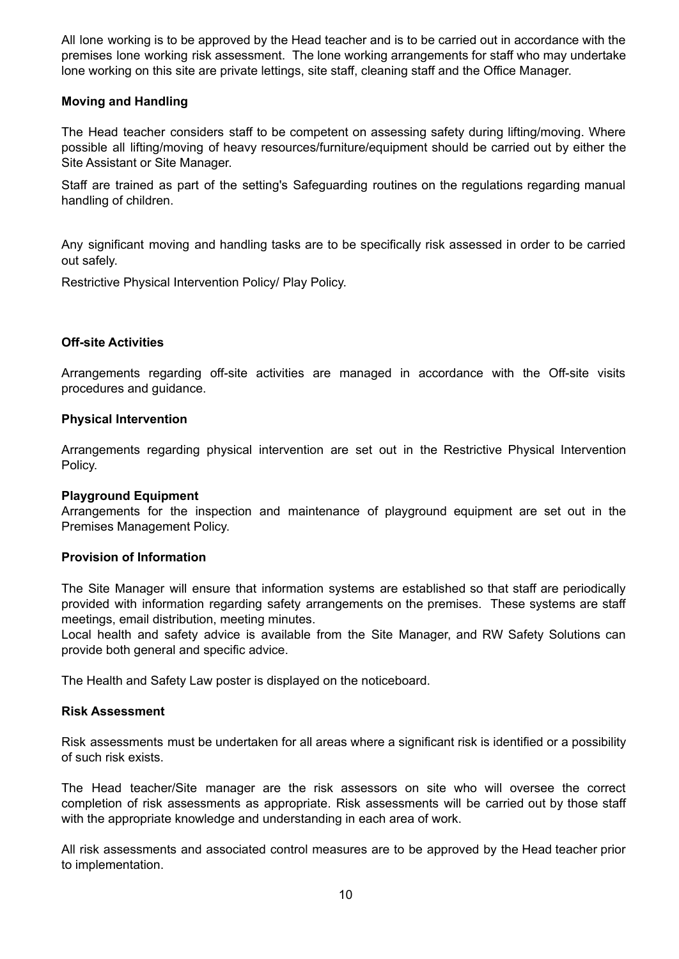All lone working is to be approved by the Head teacher and is to be carried out in accordance with the premises lone working risk assessment. The lone working arrangements for staff who may undertake lone working on this site are private lettings, site staff, cleaning staff and the Office Manager.

### **Moving and Handling**

The Head teacher considers staff to be competent on assessing safety during lifting/moving. Where possible all lifting/moving of heavy resources/furniture/equipment should be carried out by either the Site Assistant or Site Manager.

Staff are trained as part of the setting's Safeguarding routines on the regulations regarding manual handling of children.

Any significant moving and handling tasks are to be specifically risk assessed in order to be carried out safely.

Restrictive Physical Intervention Policy/ Play Policy.

### **Off-site Activities**

Arrangements regarding off-site activities are managed in accordance with the Off-site visits procedures and guidance.

#### **Physical Intervention**

Arrangements regarding physical intervention are set out in the Restrictive Physical Intervention Policy.

#### **Playground Equipment**

Arrangements for the inspection and maintenance of playground equipment are set out in the Premises Management Policy.

#### **Provision of Information**

The Site Manager will ensure that information systems are established so that staff are periodically provided with information regarding safety arrangements on the premises. These systems are staff meetings, email distribution, meeting minutes.

Local health and safety advice is available from the Site Manager, and RW Safety Solutions can provide both general and specific advice.

The Health and Safety Law poster is displayed on the noticeboard.

#### **Risk Assessment**

Risk assessments must be undertaken for all areas where a significant risk is identified or a possibility of such risk exists.

The Head teacher/Site manager are the risk assessors on site who will oversee the correct completion of risk assessments as appropriate. Risk assessments will be carried out by those staff with the appropriate knowledge and understanding in each area of work.

All risk assessments and associated control measures are to be approved by the Head teacher prior to implementation.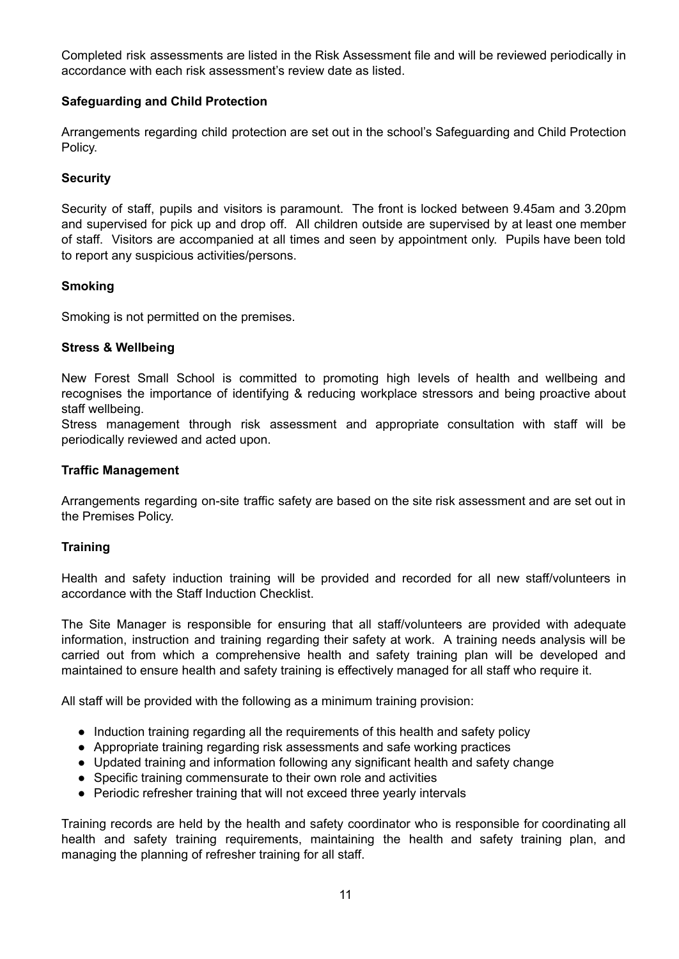Completed risk assessments are listed in the Risk Assessment file and will be reviewed periodically in accordance with each risk assessment's review date as listed.

### **Safeguarding and Child Protection**

Arrangements regarding child protection are set out in the school's Safeguarding and Child Protection Policy.

### **Security**

Security of staff, pupils and visitors is paramount. The front is locked between 9.45am and 3.20pm and supervised for pick up and drop off. All children outside are supervised by at least one member of staff. Visitors are accompanied at all times and seen by appointment only. Pupils have been told to report any suspicious activities/persons.

#### **Smoking**

Smoking is not permitted on the premises.

#### **Stress & Wellbeing**

New Forest Small School is committed to promoting high levels of health and wellbeing and recognises the importance of identifying & reducing workplace stressors and being proactive about staff wellbeing.

Stress management through risk assessment and appropriate consultation with staff will be periodically reviewed and acted upon.

#### **Traffic Management**

Arrangements regarding on-site traffic safety are based on the site risk assessment and are set out in the Premises Policy.

#### **Training**

Health and safety induction training will be provided and recorded for all new staff/volunteers in accordance with the Staff Induction Checklist.

The Site Manager is responsible for ensuring that all staff/volunteers are provided with adequate information, instruction and training regarding their safety at work. A training needs analysis will be carried out from which a comprehensive health and safety training plan will be developed and maintained to ensure health and safety training is effectively managed for all staff who require it.

All staff will be provided with the following as a minimum training provision:

- Induction training regarding all the requirements of this health and safety policy
- Appropriate training regarding risk assessments and safe working practices
- Updated training and information following any significant health and safety change
- Specific training commensurate to their own role and activities
- Periodic refresher training that will not exceed three yearly intervals

Training records are held by the health and safety coordinator who is responsible for coordinating all health and safety training requirements, maintaining the health and safety training plan, and managing the planning of refresher training for all staff.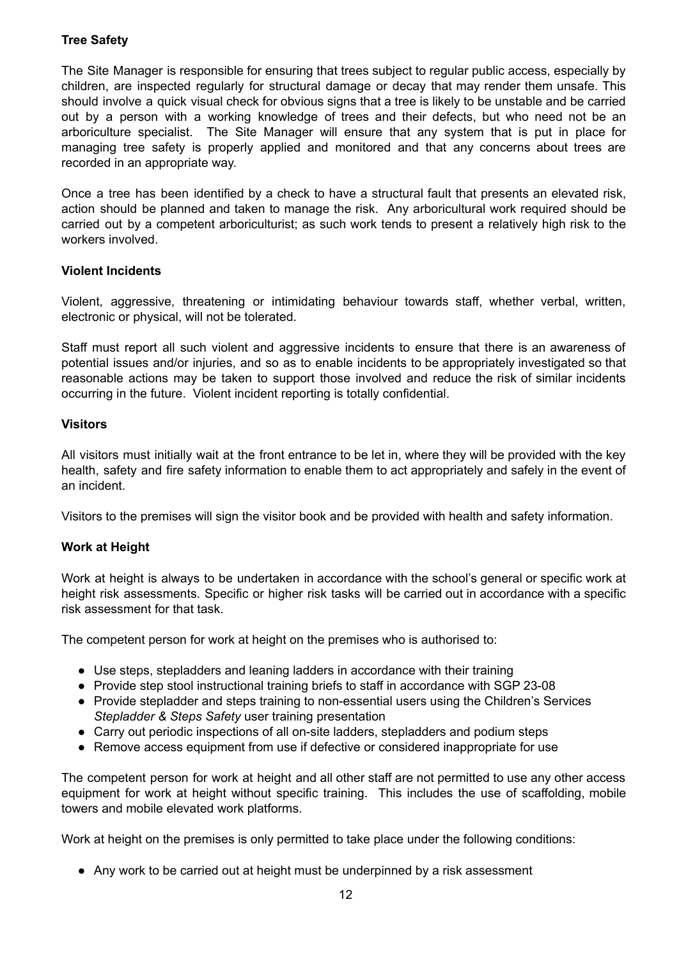# **Tree Safety**

The Site Manager is responsible for ensuring that trees subject to regular public access, especially by children, are inspected regularly for structural damage or decay that may render them unsafe. This should involve a quick visual check for obvious signs that a tree is likely to be unstable and be carried out by a person with a working knowledge of trees and their defects, but who need not be an arboriculture specialist. The Site Manager will ensure that any system that is put in place for managing tree safety is properly applied and monitored and that any concerns about trees are recorded in an appropriate way.

Once a tree has been identified by a check to have a structural fault that presents an elevated risk, action should be planned and taken to manage the risk. Any arboricultural work required should be carried out by a competent arboriculturist; as such work tends to present a relatively high risk to the workers involved.

### **Violent Incidents**

Violent, aggressive, threatening or intimidating behaviour towards staff, whether verbal, written, electronic or physical, will not be tolerated.

Staff must report all such violent and aggressive incidents to ensure that there is an awareness of potential issues and/or injuries, and so as to enable incidents to be appropriately investigated so that reasonable actions may be taken to support those involved and reduce the risk of similar incidents occurring in the future. Violent incident reporting is totally confidential.

### **Visitors**

All visitors must initially wait at the front entrance to be let in, where they will be provided with the key health, safety and fire safety information to enable them to act appropriately and safely in the event of an incident.

Visitors to the premises will sign the visitor book and be provided with health and safety information.

# **Work at Height**

Work at height is always to be undertaken in accordance with the school's general or specific work at height risk assessments. Specific or higher risk tasks will be carried out in accordance with a specific risk assessment for that task.

The competent person for work at height on the premises who is authorised to:

- Use steps, stepladders and leaning ladders in accordance with their training
- Provide step stool instructional training briefs to staff in accordance with SGP 23-08
- Provide stepladder and steps training to non-essential users using the Children's Services *Stepladder & Steps Safety* user training presentation
- Carry out periodic inspections of all on-site ladders, stepladders and podium steps
- Remove access equipment from use if defective or considered inappropriate for use

The competent person for work at height and all other staff are not permitted to use any other access equipment for work at height without specific training. This includes the use of scaffolding, mobile towers and mobile elevated work platforms.

Work at height on the premises is only permitted to take place under the following conditions:

● Any work to be carried out at height must be underpinned by a risk assessment